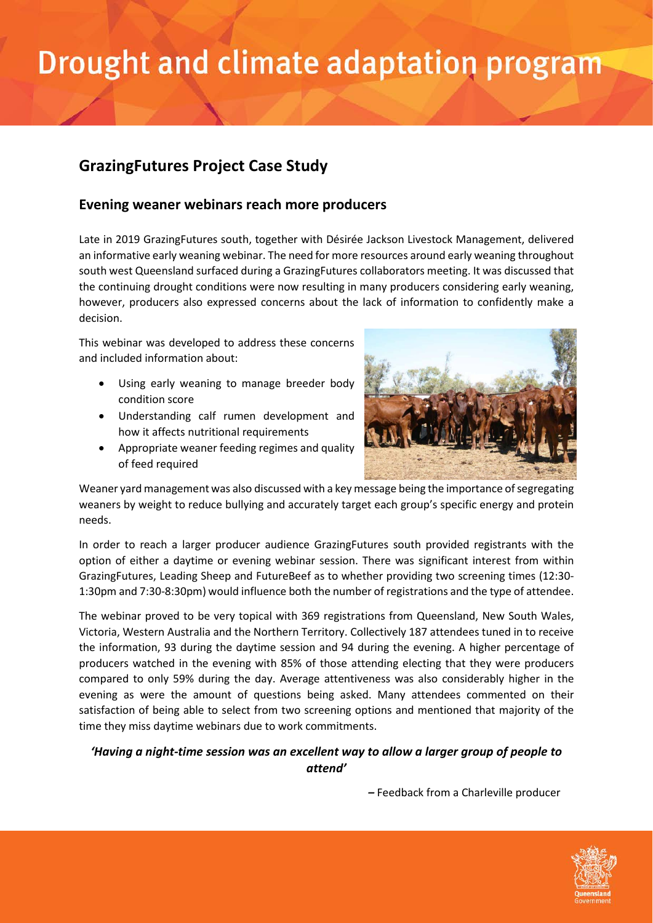# Drought and climate adaptation program

### **GrazingFutures Project Case Study**

#### **Evening weaner webinars reach more producers**

Late in 2019 GrazingFutures south, together with Désirée Jackson Livestock Management, delivered an informative early weaning webinar. The need for more resources around early weaning throughout south west Queensland surfaced during a GrazingFutures collaborators meeting. It was discussed that the continuing drought conditions were now resulting in many producers considering early weaning, however, producers also expressed concerns about the lack of information to confidently make a decision.

This webinar was developed to address these concerns and included information about:

- Using early weaning to manage breeder body condition score
- Understanding calf rumen development and how it affects nutritional requirements
- Appropriate weaner feeding regimes and quality of feed required



Weaner yard management was also discussed with a key message being the importance of segregating weaners by weight to reduce bullying and accurately target each group's specific energy and protein needs.

In order to reach a larger producer audience GrazingFutures south provided registrants with the option of either a daytime or evening webinar session. There was significant interest from within GrazingFutures, Leading Sheep and FutureBeef as to whether providing two screening times (12:30- 1:30pm and 7:30-8:30pm) would influence both the number of registrations and the type of attendee.

The webinar proved to be very topical with 369 registrations from Queensland, New South Wales, Victoria, Western Australia and the Northern Territory. Collectively 187 attendees tuned in to receive the information, 93 during the daytime session and 94 during the evening. A higher percentage of producers watched in the evening with 85% of those attending electing that they were producers compared to only 59% during the day. Average attentiveness was also considerably higher in the evening as were the amount of questions being asked. Many attendees commented on their satisfaction of being able to select from two screening options and mentioned that majority of the time they miss daytime webinars due to work commitments.

#### *'Having a night-time session was an excellent way to allow a larger group of people to attend'*

*–* Feedback from a Charleville producer